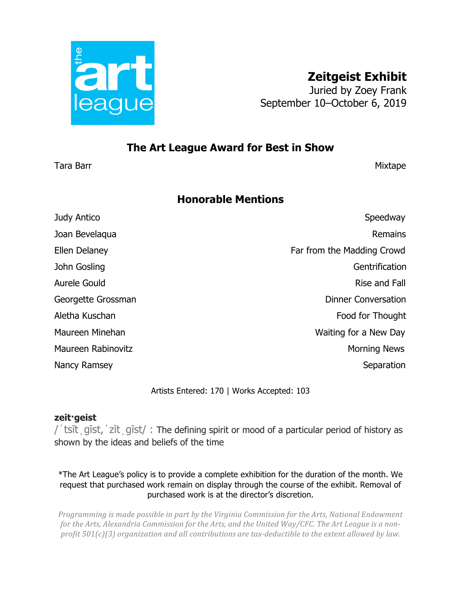

## **The Art League Award for Best in Show**

Tara Barr Mixtape and Society and Society and Society and Society and Society and Society and Society and Society and Society and Society and Society and Society and Society and Society and Society and Society and Society

## **Honorable Mentions**

| Judy Antico        | Speedway                   |
|--------------------|----------------------------|
| Joan Bevelaqua     | Remains                    |
| Ellen Delaney      | Far from the Madding Crowd |
| John Gosling       | Gentrification             |
| Aurele Gould       | Rise and Fall              |
| Georgette Grossman | <b>Dinner Conversation</b> |
| Aletha Kuschan     | Food for Thought           |
| Maureen Minehan    | Waiting for a New Day      |
| Maureen Rabinovitz | <b>Morning News</b>        |
| Nancy Ramsey       | Separation                 |
|                    |                            |

Artists Entered: 170 | Works Accepted: 103

## **zeit·geist**

/ˈtsītˌɡīst,ˈzītˌɡīst/ : The defining spirit or mood of a particular period of history as shown by the ideas and beliefs of the time

\*The Art League's policy is to provide a complete exhibition for the duration of the month. We request that purchased work remain on display through the course of the exhibit. Removal of purchased work is at the director's discretion.

*Programming is made possible in part by the Virginia Commission for the Arts, National Endowment* for the Arts, Alexandria Commission for the Arts, and the United Way/CFC. The Art League is a non*profit* 501(c)(3) organization and all contributions are tax-deductible to the extent allowed by law.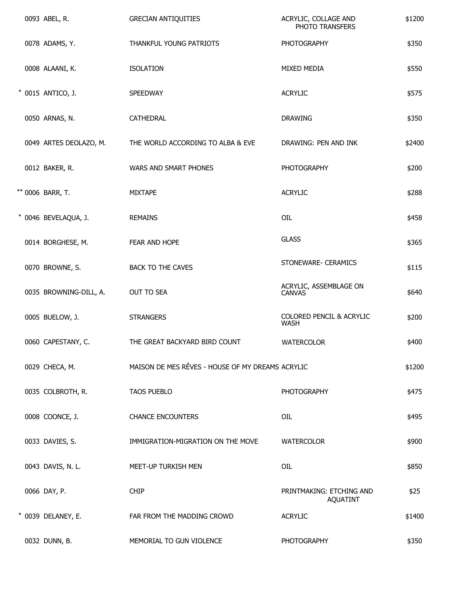|  | 0093 ABEL, R.          | <b>GRECIAN ANTIQUITIES</b>                       | ACRYLIC, COLLAGE AND<br>PHOTO TRANSFERS     | \$1200 |
|--|------------------------|--------------------------------------------------|---------------------------------------------|--------|
|  | 0078 ADAMS, Y.         | THANKFUL YOUNG PATRIOTS                          | <b>PHOTOGRAPHY</b>                          | \$350  |
|  | 0008 ALAANI, K.        | <b>ISOLATION</b>                                 | MIXED MEDIA                                 | \$550  |
|  | * 0015 ANTICO, J.      | SPEEDWAY                                         | <b>ACRYLIC</b>                              | \$575  |
|  | 0050 ARNAS, N.         | CATHEDRAL                                        | <b>DRAWING</b>                              | \$350  |
|  | 0049 ARTES DEOLAZO, M. | THE WORLD ACCORDING TO ALBA & EVE                | DRAWING: PEN AND INK                        | \$2400 |
|  | 0012 BAKER, R.         | WARS AND SMART PHONES                            | <b>PHOTOGRAPHY</b>                          | \$200  |
|  | ** 0006 BARR, T.       | <b>MIXTAPE</b>                                   | <b>ACRYLIC</b>                              | \$288  |
|  | * 0046 BEVELAQUA, J.   | <b>REMAINS</b>                                   | OIL                                         | \$458  |
|  | 0014 BORGHESE, M.      | FEAR AND HOPE                                    | <b>GLASS</b>                                | \$365  |
|  | 0070 BROWNE, S.        | <b>BACK TO THE CAVES</b>                         | STONEWARE- CERAMICS                         | \$115  |
|  | 0035 BROWNING-DILL, A. | OUT TO SEA                                       | ACRYLIC, ASSEMBLAGE ON<br><b>CANVAS</b>     | \$640  |
|  | 0005 BUELOW, J.        | <b>STRANGERS</b>                                 | COLORED PENCIL & ACRYLIC<br><b>WASH</b>     | \$200  |
|  | 0060 CAPESTANY, C.     | THE GREAT BACKYARD BIRD COUNT                    | <b>WATERCOLOR</b>                           | \$400  |
|  | 0029 CHECA, M.         | MAISON DE MES RÊVES - HOUSE OF MY DREAMS ACRYLIC |                                             | \$1200 |
|  | 0035 COLBROTH, R.      | <b>TAOS PUEBLO</b>                               | <b>PHOTOGRAPHY</b>                          | \$475  |
|  | 0008 COONCE, J.        | <b>CHANCE ENCOUNTERS</b>                         | OIL                                         | \$495  |
|  | 0033 DAVIES, S.        | IMMIGRATION-MIGRATION ON THE MOVE                | <b>WATERCOLOR</b>                           | \$900  |
|  | 0043 DAVIS, N. L.      | MEET-UP TURKISH MEN                              | OIL                                         | \$850  |
|  | 0066 DAY, P.           | <b>CHIP</b>                                      | PRINTMAKING: ETCHING AND<br><b>AQUATINT</b> | \$25   |
|  | * 0039 DELANEY, E.     | FAR FROM THE MADDING CROWD                       | <b>ACRYLIC</b>                              | \$1400 |
|  | 0032 DUNN, B.          | MEMORIAL TO GUN VIOLENCE                         | <b>PHOTOGRAPHY</b>                          | \$350  |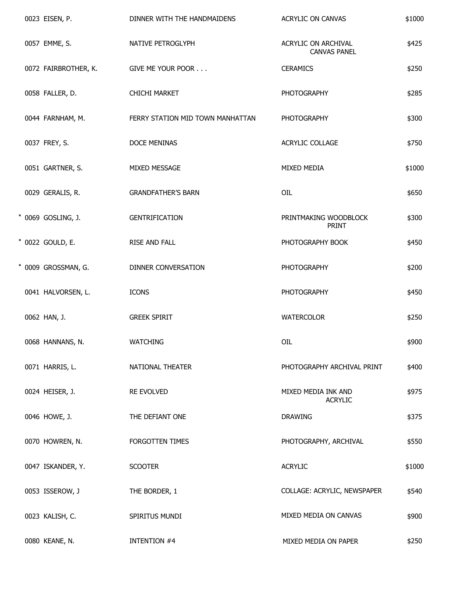|  | 0023 EISEN, P.       | DINNER WITH THE HANDMAIDENS      | ACRYLIC ON CANVAS                          | \$1000 |
|--|----------------------|----------------------------------|--------------------------------------------|--------|
|  | 0057 EMME, S.        | NATIVE PETROGLYPH                | ACRYLIC ON ARCHIVAL<br><b>CANVAS PANEL</b> | \$425  |
|  | 0072 FAIRBROTHER, K. | GIVE ME YOUR POOR                | <b>CERAMICS</b>                            | \$250  |
|  | 0058 FALLER, D.      | <b>CHICHI MARKET</b>             | <b>PHOTOGRAPHY</b>                         | \$285  |
|  | 0044 FARNHAM, M.     | FERRY STATION MID TOWN MANHATTAN | <b>PHOTOGRAPHY</b>                         | \$300  |
|  | 0037 FREY, S.        | DOCE MENINAS                     | ACRYLIC COLLAGE                            | \$750  |
|  | 0051 GARTNER, S.     | MIXED MESSAGE                    | MIXED MEDIA                                | \$1000 |
|  | 0029 GERALIS, R.     | <b>GRANDFATHER'S BARN</b>        | OIL                                        | \$650  |
|  | * 0069 GOSLING, J.   | <b>GENTRIFICATION</b>            | PRINTMAKING WOODBLOCK<br><b>PRINT</b>      | \$300  |
|  | * 0022 GOULD, E.     | RISE AND FALL                    | PHOTOGRAPHY BOOK                           | \$450  |
|  | * 0009 GROSSMAN, G.  | DINNER CONVERSATION              | <b>PHOTOGRAPHY</b>                         | \$200  |
|  | 0041 HALVORSEN, L.   | <b>ICONS</b>                     | <b>PHOTOGRAPHY</b>                         | \$450  |
|  | 0062 HAN, J.         | <b>GREEK SPIRIT</b>              | <b>WATERCOLOR</b>                          | \$250  |
|  | 0068 HANNANS, N.     | <b>WATCHING</b>                  | OIL                                        | \$900  |
|  | 0071 HARRIS, L.      | NATIONAL THEATER                 | PHOTOGRAPHY ARCHIVAL PRINT                 | \$400  |
|  | 0024 HEISER, J.      | RE EVOLVED                       | MIXED MEDIA INK AND<br><b>ACRYLIC</b>      | \$975  |
|  | 0046 HOWE, J.        | THE DEFIANT ONE                  | <b>DRAWING</b>                             | \$375  |
|  | 0070 HOWREN, N.      | FORGOTTEN TIMES                  | PHOTOGRAPHY, ARCHIVAL                      | \$550  |
|  | 0047 ISKANDER, Y.    | <b>SCOOTER</b>                   | <b>ACRYLIC</b>                             | \$1000 |
|  | 0053 ISSEROW, J      | THE BORDER, 1                    | COLLAGE: ACRYLIC, NEWSPAPER                | \$540  |
|  | 0023 KALISH, C.      | SPIRITUS MUNDI                   | MIXED MEDIA ON CANVAS                      | \$900  |
|  | 0080 KEANE, N.       | <b>INTENTION #4</b>              | MIXED MEDIA ON PAPER                       | \$250  |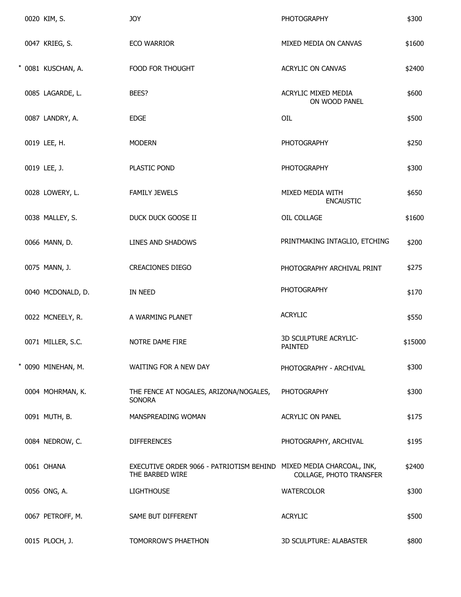| 0020 KIM, S.       | <b>JOY</b>                                                                             | <b>PHOTOGRAPHY</b>                   | \$300   |
|--------------------|----------------------------------------------------------------------------------------|--------------------------------------|---------|
| 0047 KRIEG, S.     | <b>ECO WARRIOR</b>                                                                     | MIXED MEDIA ON CANVAS                | \$1600  |
| * 0081 KUSCHAN, A. | FOOD FOR THOUGHT                                                                       | ACRYLIC ON CANVAS                    | \$2400  |
| 0085 LAGARDE, L.   | BEES?                                                                                  | ACRYLIC MIXED MEDIA<br>ON WOOD PANEL | \$600   |
| 0087 LANDRY, A.    | <b>EDGE</b>                                                                            | OIL                                  | \$500   |
| 0019 LEE, H.       | <b>MODERN</b>                                                                          | <b>PHOTOGRAPHY</b>                   | \$250   |
| 0019 LEE, J.       | PLASTIC POND                                                                           | <b>PHOTOGRAPHY</b>                   | \$300   |
| 0028 LOWERY, L.    | <b>FAMILY JEWELS</b>                                                                   | MIXED MEDIA WITH<br><b>ENCAUSTIC</b> | \$650   |
| 0038 MALLEY, S.    | DUCK DUCK GOOSE II                                                                     | OIL COLLAGE                          | \$1600  |
| 0066 MANN, D.      | LINES AND SHADOWS                                                                      | PRINTMAKING INTAGLIO, ETCHING        | \$200   |
| 0075 MANN, J.      | <b>CREACIONES DIEGO</b>                                                                | PHOTOGRAPHY ARCHIVAL PRINT           | \$275   |
| 0040 MCDONALD, D.  | IN NEED                                                                                | <b>PHOTOGRAPHY</b>                   | \$170   |
| 0022 MCNEELY, R.   | A WARMING PLANET                                                                       | <b>ACRYLIC</b>                       | \$550   |
| 0071 MILLER, S.C.  | NOTRE DAME FIRE                                                                        | 3D SCULPTURE ACRYLIC-<br>PAINTED     | \$15000 |
| 0090 MINEHAN, M.   | WAITING FOR A NEW DAY                                                                  | PHOTOGRAPHY - ARCHIVAL               | \$300   |
| 0004 MOHRMAN, K.   | THE FENCE AT NOGALES, ARIZONA/NOGALES,<br>SONORA                                       | <b>PHOTOGRAPHY</b>                   | \$300   |
| 0091 MUTH, B.      | MANSPREADING WOMAN                                                                     | <b>ACRYLIC ON PANEL</b>              | \$175   |
| 0084 NEDROW, C.    | <b>DIFFERENCES</b>                                                                     | PHOTOGRAPHY, ARCHIVAL                | \$195   |
| 0061 OHANA         | EXECUTIVE ORDER 9066 - PATRIOTISM BEHIND MIXED MEDIA CHARCOAL, INK,<br>THE BARBED WIRE | COLLAGE, PHOTO TRANSFER              | \$2400  |
| 0056 ONG, A.       | <b>LIGHTHOUSE</b>                                                                      | <b>WATERCOLOR</b>                    | \$300   |
| 0067 PETROFF, M.   | SAME BUT DIFFERENT                                                                     | <b>ACRYLIC</b>                       | \$500   |
| 0015 PLOCH, J.     | TOMORROW'S PHAETHON                                                                    | 3D SCULPTURE: ALABASTER              | \$800   |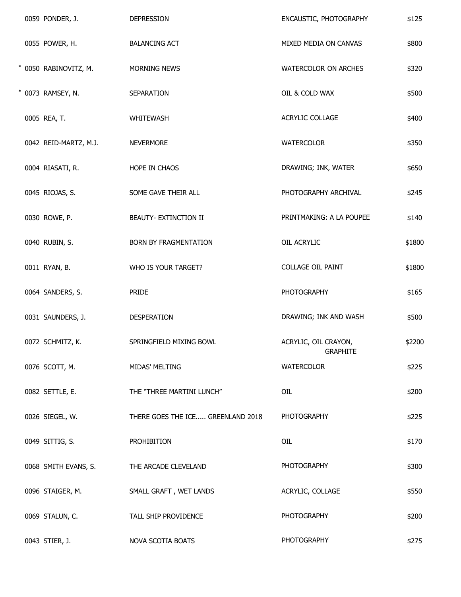|  | 0059 PONDER, J.       | <b>DEPRESSION</b>                 | ENCAUSTIC, PHOTOGRAPHY                  | \$125  |
|--|-----------------------|-----------------------------------|-----------------------------------------|--------|
|  | 0055 POWER, H.        | <b>BALANCING ACT</b>              | MIXED MEDIA ON CANVAS                   | \$800  |
|  | * 0050 RABINOVITZ, M. | MORNING NEWS                      | WATERCOLOR ON ARCHES                    | \$320  |
|  | * 0073 RAMSEY, N.     | SEPARATION                        | OIL & COLD WAX                          | \$500  |
|  | 0005 REA, T.          | WHITEWASH                         | ACRYLIC COLLAGE                         | \$400  |
|  | 0042 REID-MARTZ, M.J. | <b>NEVERMORE</b>                  | WATERCOLOR                              | \$350  |
|  | 0004 RIASATI, R.      | HOPE IN CHAOS                     | DRAWING; INK, WATER                     | \$650  |
|  | 0045 RIOJAS, S.       | SOME GAVE THEIR ALL               | PHOTOGRAPHY ARCHIVAL                    | \$245  |
|  | 0030 ROWE, P.         | BEAUTY- EXTINCTION II             | PRINTMAKING: A LA POUPEE                | \$140  |
|  | 0040 RUBIN, S.        | BORN BY FRAGMENTATION             | OIL ACRYLIC                             | \$1800 |
|  | 0011 RYAN, B.         | WHO IS YOUR TARGET?               | <b>COLLAGE OIL PAINT</b>                | \$1800 |
|  | 0064 SANDERS, S.      | PRIDE                             | <b>PHOTOGRAPHY</b>                      | \$165  |
|  | 0031 SAUNDERS, J.     | DESPERATION                       | DRAWING; INK AND WASH                   | \$500  |
|  | 0072 SCHMITZ, K.      | SPRINGFIELD MIXING BOWL           | ACRYLIC, OIL CRAYON,<br><b>GRAPHITE</b> | \$2200 |
|  | 0076 SCOTT, M.        | MIDAS' MELTING                    | <b>WATERCOLOR</b>                       | \$225  |
|  | 0082 SETTLE, E.       | THE "THREE MARTINI LUNCH"         | OIL                                     | \$200  |
|  | 0026 SIEGEL, W.       | THERE GOES THE ICE GREENLAND 2018 | <b>PHOTOGRAPHY</b>                      | \$225  |
|  | 0049 SITTIG, S.       | PROHIBITION                       | OIL                                     | \$170  |
|  | 0068 SMITH EVANS, S.  | THE ARCADE CLEVELAND              | PHOTOGRAPHY                             | \$300  |
|  | 0096 STAIGER, M.      | SMALL GRAFT, WET LANDS            | ACRYLIC, COLLAGE                        | \$550  |
|  | 0069 STALUN, C.       | TALL SHIP PROVIDENCE              | <b>PHOTOGRAPHY</b>                      | \$200  |
|  | 0043 STIER, J.        | NOVA SCOTIA BOATS                 | <b>PHOTOGRAPHY</b>                      | \$275  |